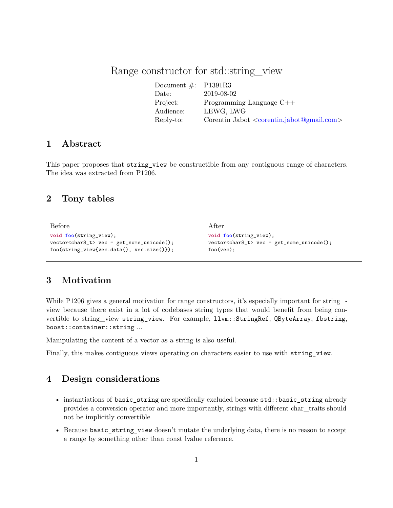# Range constructor for std::string view

| Document $\#$ : P1391R3 |                                                    |
|-------------------------|----------------------------------------------------|
| Date:                   | 2019-08-02                                         |
| Project:                | Programming Language $C++$                         |
| Audience:               | LEWG, LWG                                          |
| Reply-to:               | Corentin Jabot $\langle$ corentin.jabot@gmail.com> |

## **1 Abstract**

This paper proposes that string view be constructible from any contiguous range of characters. The idea was extracted from P1206.

## **2 Tony tables**

| Before                                                         | After                                        |
|----------------------------------------------------------------|----------------------------------------------|
| $void foo(String_view);$                                       | void foo(string_view);                       |
| $vector < char8_t$ $\rightarrow$ $vec = get_some\_unicode()$ ; | $vector < char8_t$ vec = get_some_unicode(); |
| $foo(\text{string view}$ {vec.data(), vec.size()});            | $foo(vec)$ ;                                 |

## **3 Motivation**

While P1206 gives a general motivation for range constructors, it's especially important for string view because there exist in a lot of codebases string types that would benefit from being convertible to string\_view string\_view. For example, llvm::StringRef, QByteArray, fbstring, boost::container::string ...

Manipulating the content of a vector as a string is also useful.

Finally, this makes contiguous views operating on characters easier to use with string\_view.

# **4 Design considerations**

- instantiations of basic\_string are specifically excluded because std::basic\_string already provides a conversion operator and more importantly, strings with different char\_traits should not be implicitly convertible
- Because basic\_string\_view doesn't mutate the underlying data, there is no reason to accept a range by something other than const lvalue reference.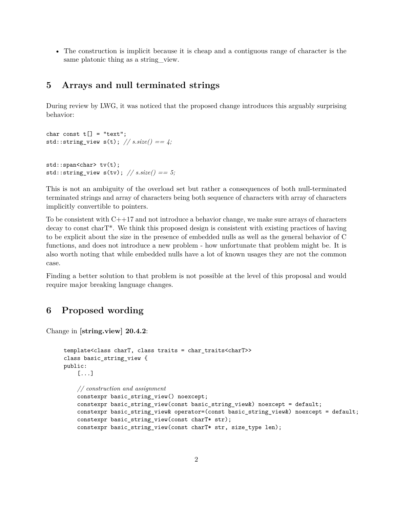• The construction is implicit because it is cheap and a contiguous range of character is the same platonic thing as a string\_view.

### **5 Arrays and null terminated strings**

During review by LWG, it was noticed that the proposed change introduces this arguably surprising behavior:

```
char const t[] = "text";std::string_view s(t); // s.size() == 4;
std::span<char> tv(t);
std::string_view s(tv); // s.size() == 5;
```
This is not an ambiguity of the overload set but rather a consequences of both null-terminated terminated strings and array of characters being both sequence of characters with array of characters implicitly convertible to pointers.

To be consistent with  $C++17$  and not introduce a behavior change, we make sure arrays of characters decay to const charT\*. We think this proposed design is consistent with existing practices of having to be explicit about the size in the presence of embedded nulls as well as the general behavior of C functions, and does not introduce a new problem - how unfortunate that problem might be. It is also worth noting that while embedded nulls have a lot of known usages they are not the common case.

Finding a better solution to that problem is not possible at the level of this proposal and would require major breaking language changes.

# **6 Proposed wording**

Change in **[string.view] 20.4.2**:

```
template<class charT, class traits = char_traits<charT>>
class basic_string_view {
public:
    [...]
    // construction and assignment
    constexpr basic string view() noexcept;
    constexpr basic_string_view(const basic_string_view&) noexcept = default;
    constexpr basic_string_view& operator=(const basic_string_view&) noexcept = default;
    constexpr basic_string_view(const charT* str);
    constexpr basic_string_view(const charT* str, size_type len);
```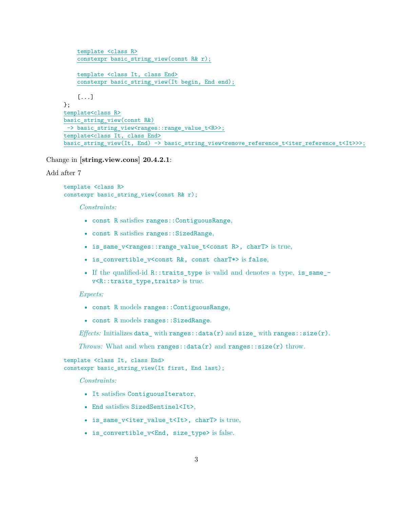```
template <class R>
    constexpr basic_string_view(const R& r);
    template <class It, class End>
    constexpr basic_string_view(It begin, End end);
    [...]
};
template<class R>
basic string view(const R&)
 -> basic string view<ranges::range value t<R>>;
template<class It, class End>
basic_string_view(It, End) -> basic_string_view<remove_reference_t<iter_reference_t<It>>>;
```
Change in **[string.view.cons] 20.4.2.1**:

### Add after 7

```
template <class R>
constexpr basic_string_view(const R& r);
```
### *Constraints:*

- const R satisfies ranges::ContiguousRange,
- const R satisfies ranges::SizedRange,
- is\_same\_v<ranges::range\_value\_t<const R>, charT> is true,
- is\_convertible\_v<const R&, const charT\*> is false,
- If the qualified-id R::traits type is valid and denotes a type, is same v<R::traits\_type,traits> is true.

#### *Expects:*

- const R models ranges::ContiguousRange,
- const R models ranges::SizedRange.

*Effects:* Initializes data\_with ranges::data(r) and size\_with ranges::size(r).

*Throws:* What and when  $ranges:data(r)$  and  $ranges:size(r)$  throw.

```
template <class It, class End>
constexpr basic_string_view(It first, End last);
```
*Constraints:*

- It satisfies ContiguousIterator,
- End satisfies SizedSentinel<It>,
- is same\_v<iter\_value\_t<It>, charT> is true,
- is\_convertible\_v<End, size\_type> is false.